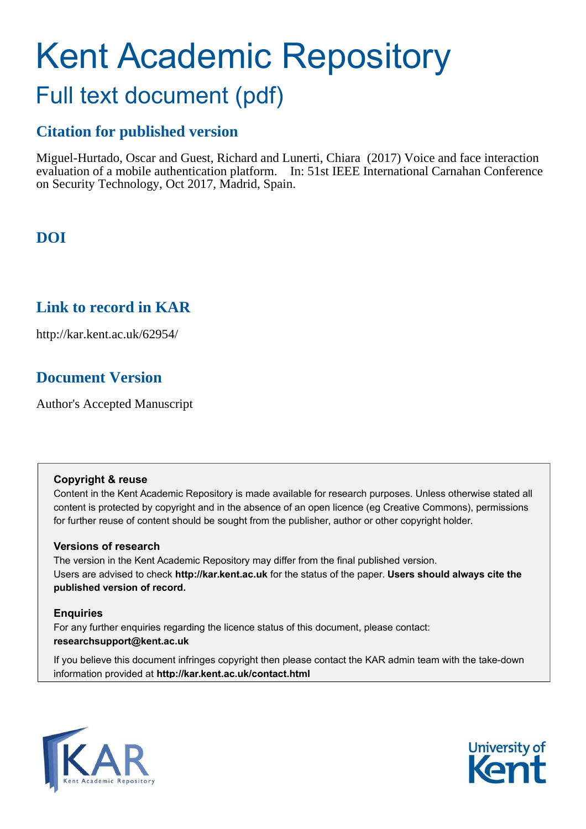# Kent Academic Repository

# Full text document (pdf)

# **Citation for published version**

Miguel-Hurtado, Oscar and Guest, Richard and Lunerti, Chiara (2017) Voice and face interaction evaluation of a mobile authentication platform. In: 51st IEEE International Carnahan Conference on Security Technology, Oct 2017, Madrid, Spain.

# **DOI**

# **Link to record in KAR**

http://kar.kent.ac.uk/62954/

# **Document Version**

Author's Accepted Manuscript

## **Copyright & reuse**

Content in the Kent Academic Repository is made available for research purposes. Unless otherwise stated all content is protected by copyright and in the absence of an open licence (eg Creative Commons), permissions for further reuse of content should be sought from the publisher, author or other copyright holder.

## **Versions of research**

The version in the Kent Academic Repository may differ from the final published version. Users are advised to check **http://kar.kent.ac.uk** for the status of the paper. **Users should always cite the published version of record.**

## **Enquiries**

For any further enquiries regarding the licence status of this document, please contact: **researchsupport@kent.ac.uk**

If you believe this document infringes copyright then please contact the KAR admin team with the take-down information provided at **http://kar.kent.ac.uk/contact.html**



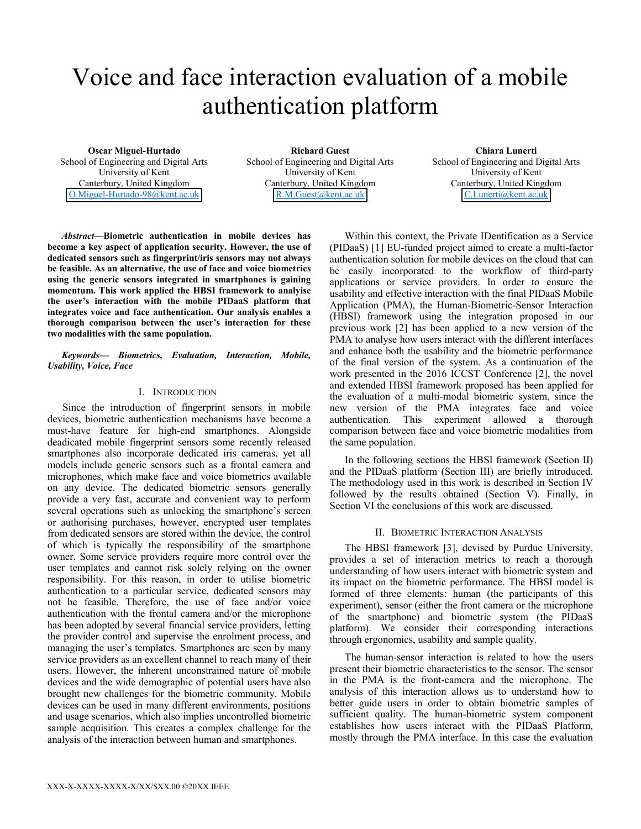# Voice and face interaction evaluation of a mobile authentication platform

**Oscar Miguel-Hurtado** School of Engineering and Digital Arts University of Kent Canterbury, United Kingdom O.Miguel-Hurtado-98@kent.ac.uk

**Richard Guest** School of Engineering and Digital Arts University of Kent Canterbury, United Kingdom [R.M.Guest@kent.ac.uk](mailto:R.M.Guest@kent.ac.uk) 

**Chiara Lunerti** School of Engineering and Digital Arts University of Kent Canterbury, United Kingdom [C.Lunerti@kent.ac.uk](mailto:C.Lunerti@kent.ac.uk) 

*Abstract***—Biometric authentication in mobile devices has become a key aspect of application security. However, the use of dedicated sensors such as fingerprint/iris sensors may not always be feasible. As an alternative, the use of face and voice biometrics using the generic sensors integrated in smartphones is gaining momentum. This work applied the HBSI framework to analyise the user's interaction with the mobile PIDaaS platform that integrates voice and face authentication. Our analysis enables a thorough comparison between the user's interaction for these two modalities with the same population.**

*Keywords— Biometrics, Evaluation, Interaction, Mobile, Usability, Voice, Face* 

#### I. INTRODUCTION

Since the introduction of fingerprint sensors in mobile devices, biometric authentication mechanisms have become a must-have feature for high-end smartphones. Alongside deadicated mobile fingerprint sensors some recently released smartphones also incorporate dedicated iris cameras, yet all models include generic sensors such as a frontal camera and microphones, which make face and voice biometrics available on any device. The dedicated biometric sensors generally provide a very fast, accurate and convenient way to perform several operations such as unlocking the smartphone's screen or authorising purchases, however, encrypted user templates from dedicated sensors are stored within the device, the control of which is typically the responsibility of the smartphone owner. Some service providers require more control over the user templates and cannot risk solely relying on the owner responsibility. For this reason, in order to utilise biometric authentication to a particular service, dedicated sensors may not be feasible. Therefore, the use of face and/or voice authentication with the frontal camera and/or the microphone has been adopted by several financial service providers, letting the provider control and supervise the enrolment process, and managing the user's templates. Smartphones are seen by many service providers as an excellent channel to reach many of their users. However, the inherent unconstrained nature of mobile devices and the wide demographic of potential users have also brought new challenges for the biometric community. Mobile devices can be used in many different environments, positions and usage scenarios, which also implies uncontrolled biometric sample acquisition. This creates a complex challenge for the analysis of the interaction between human and smartphones.

Within this context, the Private IDentification as a Service (PIDaaS) [1] EU-funded project aimed to create a multi-factor authentication solution for mobile devices on the cloud that can be easily incorporated to the workflow of third-party applications or service providers. In order to ensure the usability and effective interaction with the final PIDaaS Mobile Application (PMA), the Human-Biometric-Sensor Interaction (HBSI) framework using the integration proposed in our previous work [2] has been applied to a new version of the PMA to analyse how users interact with the different interfaces and enhance both the usability and the biometric performance of the final version of the system. As a continuation of the work presented in the 2016 ICCST Conference [2], the novel and extended HBSI framework proposed has been applied for the evaluation of a multi-modal biometric system, since the new version of the PMA integrates face and voice authentication. This experiment allowed a thorough comparison between face and voice biometric modalities from the same population.

In the following sections the HBSI framework (Section II) and the PIDaaS platform (Section III) are briefly introduced. The methodology used in this work is described in Section IV followed by the results obtained (Section V). Finally, in Section VI the conclusions of this work are discussed.

#### II. BIOMETRIC INTERACTION ANALYSIS

The HBSI framework [3], devised by Purdue University, provides a set of interaction metrics to reach a thorough understanding of how users interact with biometric system and its impact on the biometric performance. The HBSI model is formed of three elements: human (the participants of this experiment), sensor (either the front camera or the microphone of the smartphone) and biometric system (the PIDaaS platform). We consider their corresponding interactions through ergonomics, usability and sample quality.

The human-sensor interaction is related to how the users present their biometric characteristics to the sensor. The sensor in the PMA is the front-camera and the microphone. The analysis of this interaction allows us to understand how to better guide users in order to obtain biometric samples of sufficient quality. The human-biometric system component establishes how users interact with the PIDaaS Platform, mostly through the PMA interface. In this case the evaluation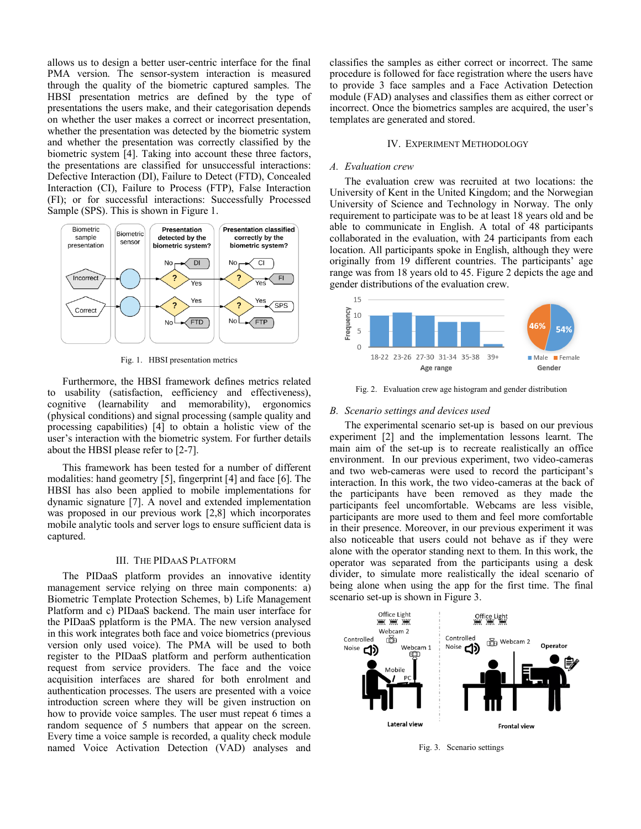allows us to design a better user-centric interface for the final PMA version. The sensor-system interaction is measured through the quality of the biometric captured samples. The HBSI presentation metrics are defined by the type of presentations the users make, and their categorisation depends on whether the user makes a correct or incorrect presentation, whether the presentation was detected by the biometric system and whether the presentation was correctly classified by the biometric system [4]. Taking into account these three factors, the presentations are classified for unsuccessful interactions: Defective Interaction (DI), Failure to Detect (FTD), Concealed Interaction (CI), Failure to Process (FTP), False Interaction (FI); or for successful interactions: Successfully Processed Sample (SPS). This is shown in Figure 1.



Fig. 1. HBSI presentation metrics

Furthermore, the HBSI framework defines metrics related to usability (satisfaction, eefficiency and effectiveness), cognitive (learnability and memorability), ergonomics (physical conditions) and signal processing (sample quality and processing capabilities) [4] to obtain a holistic view of the user's interaction with the biometric system. For further details about the HBSI please refer to [2-7].

This framework has been tested for a number of different modalities: hand geometry [5], fingerprint [4] and face [6]. The HBSI has also been applied to mobile implementations for dynamic signature [7]. A novel and extended implementation was proposed in our previous work [2,8] which incorporates mobile analytic tools and server logs to ensure sufficient data is captured.

#### III. THE PIDAAS PLATFORM

The PIDaaS platform provides an innovative identity management service relying on three main components: a) Biometric Template Protection Schemes, b) Life Management Platform and c) PIDaaS backend. The main user interface for the PIDaaS pplatform is the PMA. The new version analysed in this work integrates both face and voice biometrics (previous version only used voice). The PMA will be used to both register to the PIDaaS platform and perform authentication request from service providers. The face and the voice acquisition interfaces are shared for both enrolment and authentication processes. The users are presented with a voice introduction screen where they will be given instruction on how to provide voice samples. The user must repeat 6 times a random sequence of 5 numbers that appear on the screen. Every time a voice sample is recorded, a quality check module named Voice Activation Detection (VAD) analyses and

classifies the samples as either correct or incorrect. The same procedure is followed for face registration where the users have to provide 3 face samples and a Face Activation Detection module (FAD) analyses and classifies them as either correct or incorrect. Once the biometrics samples are acquired, the user's templates are generated and stored.

#### IV. EXPERIMENT METHODOLOGY

#### *A. Evaluation crew*

The evaluation crew was recruited at two locations: the University of Kent in the United Kingdom; and the Norwegian University of Science and Technology in Norway. The only requirement to participate was to be at least 18 years old and be able to communicate in English. A total of 48 participants collaborated in the evaluation, with 24 participants from each location. All participants spoke in English, although they were originally from 19 different countries. The participants' age range was from 18 years old to 45. Figure 2 depicts the age and gender distributions of the evaluation crew.



Fig. 2. Evaluation crew age histogram and gender distribution

#### *B. Scenario settings and devices used*

The experimental scenario set-up is based on our previous experiment [2] and the implementation lessons learnt. The main aim of the set-up is to recreate realistically an office environment. In our previous experiment, two video-cameras and two web-cameras were used to record the participant's interaction. In this work, the two video-cameras at the back of the participants have been removed as they made the participants feel uncomfortable. Webcams are less visible, participants are more used to them and feel more comfortable in their presence. Moreover, in our previous experiment it was also noticeable that users could not behave as if they were alone with the operator standing next to them. In this work, the operator was separated from the participants using a desk divider, to simulate more realistically the ideal scenario of being alone when using the app for the first time. The final scenario set-up is shown in Figure 3.



Fig. 3. Scenario settings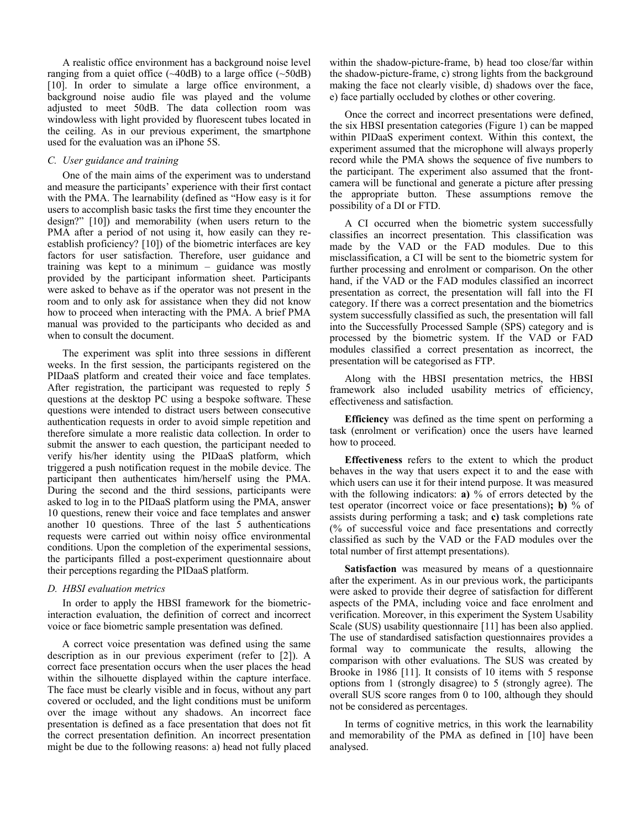A realistic office environment has a background noise level ranging from a quiet office  $(\sim 40 \text{dB})$  to a large office  $(\sim 50 \text{dB})$ [10]. In order to simulate a large office environment, a background noise audio file was played and the volume adjusted to meet 50dB. The data collection room was windowless with light provided by fluorescent tubes located in the ceiling. As in our previous experiment, the smartphone used for the evaluation was an iPhone 5S.

#### *C. User guidance and training*

One of the main aims of the experiment was to understand and measure the participants' experience with their first contact with the PMA. The learnability (defined as "How easy is it for users to accomplish basic tasks the first time they encounter the design?" [10]) and memorability (when users return to the PMA after a period of not using it, how easily can they reestablish proficiency? [10]) of the biometric interfaces are key factors for user satisfaction. Therefore, user guidance and training was kept to a minimum – guidance was mostly provided by the participant information sheet. Participants were asked to behave as if the operator was not present in the room and to only ask for assistance when they did not know how to proceed when interacting with the PMA. A brief PMA manual was provided to the participants who decided as and when to consult the document.

The experiment was split into three sessions in different weeks. In the first session, the participants registered on the PIDaaS platform and created their voice and face templates. After registration, the participant was requested to reply 5 questions at the desktop PC using a bespoke software. These questions were intended to distract users between consecutive authentication requests in order to avoid simple repetition and therefore simulate a more realistic data collection. In order to submit the answer to each question, the participant needed to verify his/her identity using the PIDaaS platform, which triggered a push notification request in the mobile device. The participant then authenticates him/herself using the PMA. During the second and the third sessions, participants were asked to log in to the PIDaaS platform using the PMA, answer 10 questions, renew their voice and face templates and answer another 10 questions. Three of the last  $\overline{5}$  authentications requests were carried out within noisy office environmental conditions. Upon the completion of the experimental sessions, the participants filled a post-experiment questionnaire about their perceptions regarding the PIDaaS platform.

#### *D. HBSI evaluation metrics*

 In order to apply the HBSI framework for the biometricinteraction evaluation, the definition of correct and incorrect voice or face biometric sample presentation was defined.

A correct voice presentation was defined using the same description as in our previous experiment (refer to [2]). A correct face presentation occurs when the user places the head within the silhouette displayed within the capture interface. The face must be clearly visible and in focus, without any part covered or occluded, and the light conditions must be uniform over the image without any shadows. An incorrect face presentation is defined as a face presentation that does not fit the correct presentation definition. An incorrect presentation might be due to the following reasons: a) head not fully placed

within the shadow-picture-frame, b) head too close/far within the shadow-picture-frame, c) strong lights from the background making the face not clearly visible, d) shadows over the face, e) face partially occluded by clothes or other covering.

 Once the correct and incorrect presentations were defined, the six HBSI presentation categories (Figure 1) can be mapped within PIDaaS experiment context. Within this context, the experiment assumed that the microphone will always properly record while the PMA shows the sequence of five numbers to the participant. The experiment also assumed that the frontcamera will be functional and generate a picture after pressing the appropriate button. These assumptions remove the possibility of a DI or FTD.

 A CI occurred when the biometric system successfully classifies an incorrect presentation. This classification was made by the VAD or the FAD modules. Due to this misclassification, a CI will be sent to the biometric system for further processing and enrolment or comparison. On the other hand, if the VAD or the FAD modules classified an incorrect presentation as correct, the presentation will fall into the FI category. If there was a correct presentation and the biometrics system successfully classified as such, the presentation will fall into the Successfully Processed Sample (SPS) category and is processed by the biometric system. If the VAD or FAD modules classified a correct presentation as incorrect, the presentation will be categorised as FTP.

 Along with the HBSI presentation metrics, the HBSI framework also included usability metrics of efficiency, effectiveness and satisfaction.

**Efficiency** was defined as the time spent on performing a task (enrolment or verification) once the users have learned how to proceed.

**Effectiveness** refers to the extent to which the product behaves in the way that users expect it to and the ease with which users can use it for their intend purpose. It was measured with the following indicators: **a)** % of errors detected by the test operator (incorrect voice or face presentations)**; b)** % of assists during performing a task; and **c)** task completions rate (% of successful voice and face presentations and correctly classified as such by the VAD or the FAD modules over the total number of first attempt presentations).

**Satisfaction** was measured by means of a questionnaire after the experiment. As in our previous work, the participants were asked to provide their degree of satisfaction for different aspects of the PMA, including voice and face enrolment and verification. Moreover, in this experiment the System Usability Scale (SUS) usability questionnaire [11] has been also applied. The use of standardised satisfaction questionnaires provides a formal way to communicate the results, allowing the comparison with other evaluations. The SUS was created by Brooke in 1986 [11]. It consists of 10 items with 5 response options from 1 (strongly disagree) to 5 (strongly agree). The overall SUS score ranges from 0 to 100, although they should not be considered as percentages.

In terms of cognitive metrics, in this work the learnability and memorability of the PMA as defined in [10] have been analysed.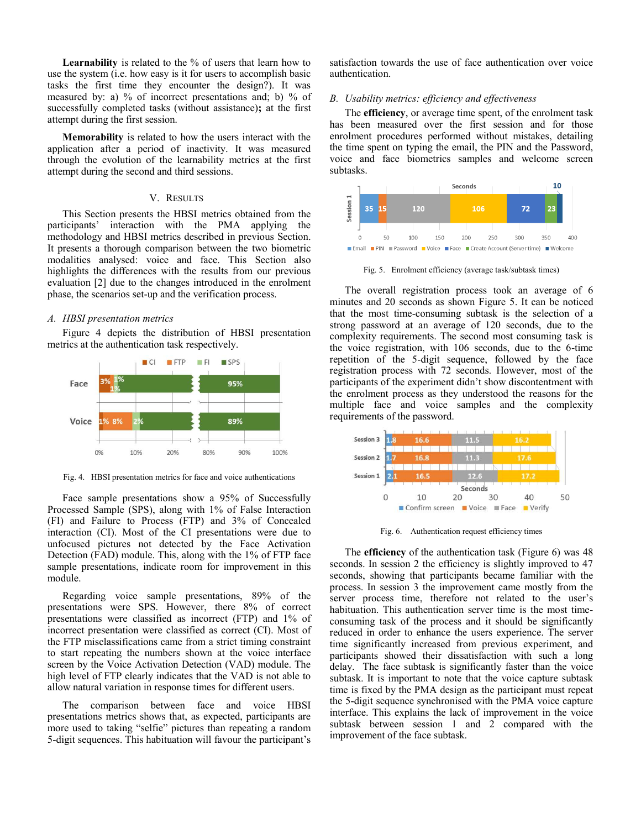Learnability is related to the % of users that learn how to use the system (i.e. how easy is it for users to accomplish basic tasks the first time they encounter the design?). It was measured by: a) % of incorrect presentations and; b) % of successfully completed tasks (without assistance)**;** at the first attempt during the first session.

**Memorability** is related to how the users interact with the application after a period of inactivity. It was measured through the evolution of the learnability metrics at the first attempt during the second and third sessions.

#### V. RESULTS

This Section presents the HBSI metrics obtained from the participants' interaction with the PMA applying the methodology and HBSI metrics described in previous Section. It presents a thorough comparison between the two biometric modalities analysed: voice and face. This Section also highlights the differences with the results from our previous evaluation [2] due to the changes introduced in the enrolment phase, the scenarios set-up and the verification process.

#### *A. HBSI presentation metrics*

Figure 4 depicts the distribution of HBSI presentation metrics at the authentication task respectively.



Fig. 4. HBSI presentation metrics for face and voice authentications

Face sample presentations show a 95% of Successfully Processed Sample (SPS), along with 1% of False Interaction (FI) and Failure to Process (FTP) and 3% of Concealed interaction (CI). Most of the CI presentations were due to unfocused pictures not detected by the Face Activation Detection (FAD) module. This, along with the 1% of FTP face sample presentations, indicate room for improvement in this module.

Regarding voice sample presentations, 89% of the presentations were SPS. However, there 8% of correct presentations were classified as incorrect (FTP) and 1% of incorrect presentation were classified as correct (CI). Most of the FTP misclassifications came from a strict timing constraint to start repeating the numbers shown at the voice interface screen by the Voice Activation Detection (VAD) module. The high level of FTP clearly indicates that the VAD is not able to allow natural variation in response times for different users.

The comparison between face and voice HBSI presentations metrics shows that, as expected, participants are more used to taking "selfie" pictures than repeating a random 5-digit sequences. This habituation will favour the participant's

satisfaction towards the use of face authentication over voice authentication.

#### *B. Usability metrics: efficiency and effectiveness*

The **efficiency**, or average time spent, of the enrolment task has been measured over the first session and for those enrolment procedures performed without mistakes, detailing the time spent on typing the email, the PIN and the Password, voice and face biometrics samples and welcome screen subtasks.



Fig. 5. Enrolment efficiency (average task/subtask times)

The overall registration process took an average of 6 minutes and 20 seconds as shown Figure 5. It can be noticed that the most time-consuming subtask is the selection of a strong password at an average of 120 seconds, due to the complexity requirements. The second most consuming task is the voice registration, with 106 seconds, due to the 6-time repetition of the 5-digit sequence, followed by the face registration process with 72 seconds. However, most of the participants of the experiment didn't show discontentment with the enrolment process as they understood the reasons for the multiple face and voice samples and the complexity requirements of the password.



Fig. 6. Authentication request efficiency times

The **efficiency** of the authentication task (Figure 6) was 48 seconds. In session 2 the efficiency is slightly improved to 47 seconds, showing that participants became familiar with the process. In session 3 the improvement came mostly from the server process time, therefore not related to the user's habituation. This authentication server time is the most timeconsuming task of the process and it should be significantly reduced in order to enhance the users experience. The server time significantly increased from previous experiment, and participants showed their dissatisfaction with such a long delay. The face subtask is significantly faster than the voice subtask. It is important to note that the voice capture subtask time is fixed by the PMA design as the participant must repeat the 5-digit sequence synchronised with the PMA voice capture interface. This explains the lack of improvement in the voice subtask between session 1 and 2 compared with the improvement of the face subtask.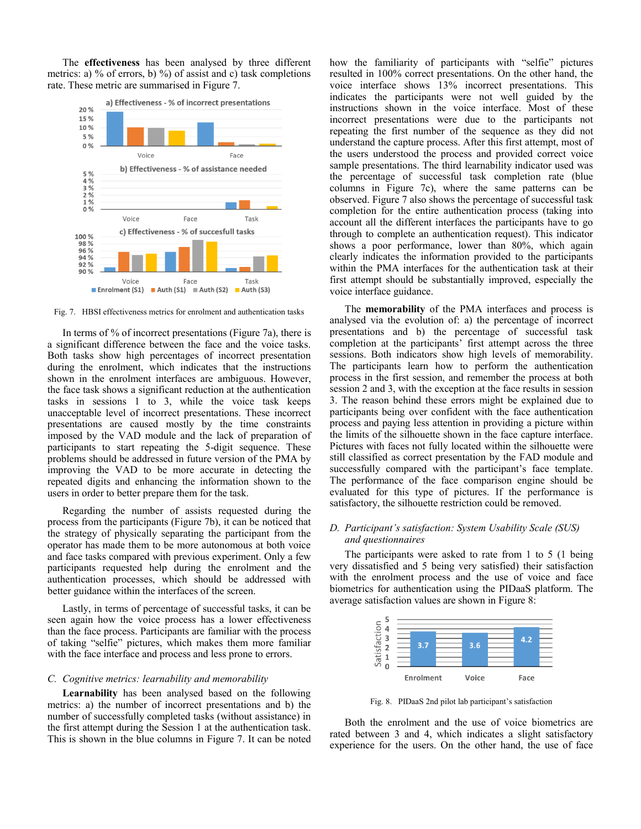The **effectiveness** has been analysed by three different metrics: a) % of errors, b) %) of assist and c) task completions rate. These metric are summarised in Figure 7.



Fig. 7. HBSI effectiveness metrics for enrolment and authentication tasks

In terms of % of incorrect presentations (Figure 7a), there is a significant difference between the face and the voice tasks. Both tasks show high percentages of incorrect presentation during the enrolment, which indicates that the instructions shown in the enrolment interfaces are ambiguous. However, the face task shows a significant reduction at the authentication tasks in sessions 1 to 3, while the voice task keeps unacceptable level of incorrect presentations. These incorrect presentations are caused mostly by the time constraints imposed by the VAD module and the lack of preparation of participants to start repeating the 5-digit sequence. These problems should be addressed in future version of the PMA by improving the VAD to be more accurate in detecting the repeated digits and enhancing the information shown to the users in order to better prepare them for the task.

Regarding the number of assists requested during the process from the participants (Figure 7b), it can be noticed that the strategy of physically separating the participant from the operator has made them to be more autonomous at both voice and face tasks compared with previous experiment. Only a few participants requested help during the enrolment and the authentication processes, which should be addressed with better guidance within the interfaces of the screen.

Lastly, in terms of percentage of successful tasks, it can be seen again how the voice process has a lower effectiveness than the face process. Participants are familiar with the process of taking "selfie" pictures, which makes them more familiar with the face interface and process and less prone to errors.

#### *C. Cognitive metrics: learnability and memorability*

**Learnability** has been analysed based on the following metrics: a) the number of incorrect presentations and b) the number of successfully completed tasks (without assistance) in the first attempt during the Session 1 at the authentication task. This is shown in the blue columns in Figure 7. It can be noted how the familiarity of participants with "selfie" pictures resulted in 100% correct presentations. On the other hand, the voice interface shows 13% incorrect presentations. This indicates the participants were not well guided by the instructions shown in the voice interface. Most of these incorrect presentations were due to the participants not repeating the first number of the sequence as they did not understand the capture process. After this first attempt, most of the users understood the process and provided correct voice sample presentations. The third learnability indicator used was the percentage of successful task completion rate (blue columns in Figure 7c), where the same patterns can be observed. Figure 7 also shows the percentage of successful task completion for the entire authentication process (taking into account all the different interfaces the participants have to go through to complete an authentication request). This indicator shows a poor performance, lower than 80%, which again clearly indicates the information provided to the participants within the PMA interfaces for the authentication task at their first attempt should be substantially improved, especially the voice interface guidance.

The **memorability** of the PMA interfaces and process is analysed via the evolution of: a) the percentage of incorrect presentations and b) the percentage of successful task completion at the participants' first attempt across the three sessions. Both indicators show high levels of memorability. The participants learn how to perform the authentication process in the first session, and remember the process at both session 2 and 3, with the exception at the face results in session 3. The reason behind these errors might be explained due to participants being over confident with the face authentication process and paying less attention in providing a picture within the limits of the silhouette shown in the face capture interface. Pictures with faces not fully located within the silhouette were still classified as correct presentation by the FAD module and successfully compared with the participant's face template. The performance of the face comparison engine should be evaluated for this type of pictures. If the performance is satisfactory, the silhouette restriction could be removed.

#### *D. Participant's satisfaction: System Usability Scale (SUS) and questionnaires*

The participants were asked to rate from 1 to 5 (1 being very dissatisfied and 5 being very satisfied) their satisfaction with the enrolment process and the use of voice and face biometrics for authentication using the PIDaaS platform. The average satisfaction values are shown in Figure 8:



Fig. 8. PIDaaS 2nd pilot lab participant's satisfaction

Both the enrolment and the use of voice biometrics are rated between 3 and 4, which indicates a slight satisfactory experience for the users. On the other hand, the use of face